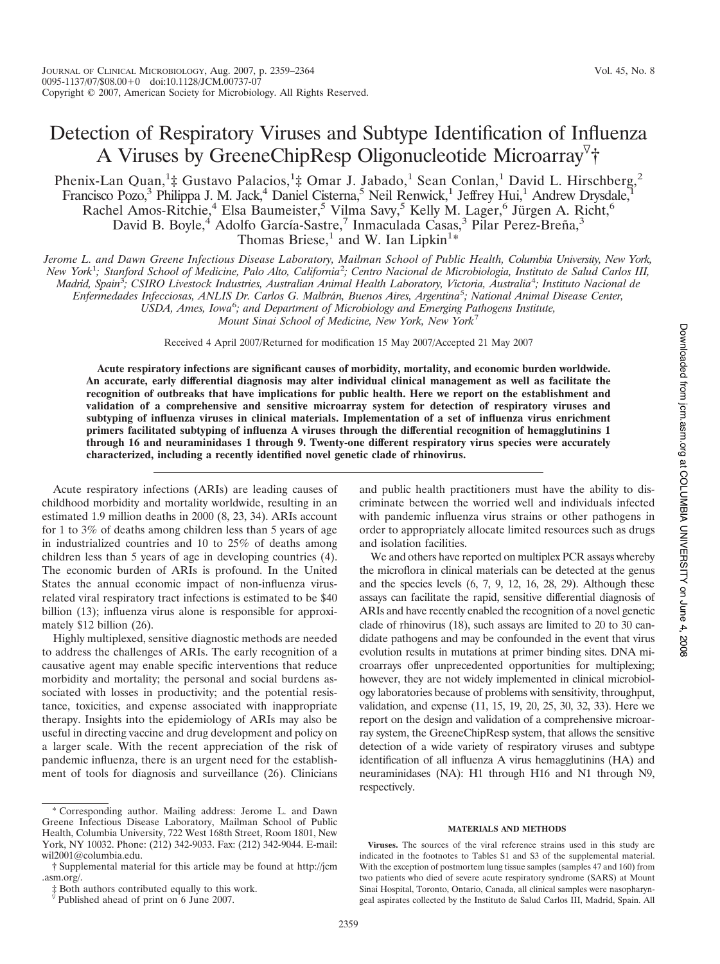# Detection of Respiratory Viruses and Subtype Identification of Influenza A Viruses by GreeneChipResp Oligonucleotide Microarray<sup>7</sup>†

Phenix-Lan Quan,<sup>1</sup>‡ Gustavo Palacios,<sup>1</sup>‡ Omar J. Jabado,<sup>1</sup> Sean Conlan,<sup>1</sup> David L. Hirschberg,<sup>2</sup> Francisco Pozo,<sup>3</sup> Philippa J. M. Jack,<sup>4</sup> Daniel Cisterna,<sup>5</sup> Neil Renwick,<sup>1</sup> Jeffrey Hui,<sup>1</sup> Andrew Drysdale,<sup>1</sup> Rachel Amos-Ritchie,<sup>4</sup> Elsa Baumeister,<sup>5</sup> Vilma Savy,<sup>5</sup> Kelly M. Lager,<sup>6</sup> Jürgen A. Richt,<sup>6</sup> David B. Boyle,<sup>4</sup> Adolfo García-Sastre,<sup>7</sup> Inmaculada Casas,<sup>3</sup> Pilar Perez-Breña,<sup>3</sup> Thomas Briese,<sup>1</sup> and W. Ian Lipkin<sup>1\*</sup>

Jerome L. and Dawn Greene Infectious Disease Laboratory, Mailman School of Public Health, Columbia University, New York, New York<sup>1</sup>; Stanford School of Medicine, Palo Alto, California<sup>2</sup>; Centro Nacional de Microbiologia, Instituto de Salud Carlos III, Madrid, Spain<sup>3</sup>; CSIRO Livestock Industries, Australian Animal Health Laboratory, Victoria, Australia<sup>4</sup>; Instituto Nacional de *Enfermedades Infecciosas, ANLIS Dr. Carlos G. Malbra´n, Buenos Aires, Argentina*<sup>5</sup> *; National Animal Disease Center, USDA, Ames, Iowa*<sup>6</sup> *; and Department of Microbiology and Emerging Pathogens Institute,*

*Mount Sinai School of Medicine, New York, New York*<sup>7</sup>

Received 4 April 2007/Returned for modification 15 May 2007/Accepted 21 May 2007

**Acute respiratory infections are significant causes of morbidity, mortality, and economic burden worldwide. An accurate, early differential diagnosis may alter individual clinical management as well as facilitate the recognition of outbreaks that have implications for public health. Here we report on the establishment and validation of a comprehensive and sensitive microarray system for detection of respiratory viruses and subtyping of influenza viruses in clinical materials. Implementation of a set of influenza virus enrichment primers facilitated subtyping of influenza A viruses through the differential recognition of hemagglutinins 1 through 16 and neuraminidases 1 through 9. Twenty-one different respiratory virus species were accurately characterized, including a recently identified novel genetic clade of rhinovirus.**

Acute respiratory infections (ARIs) are leading causes of childhood morbidity and mortality worldwide, resulting in an estimated 1.9 million deaths in 2000 (8, 23, 34). ARIs account for 1 to 3% of deaths among children less than 5 years of age in industrialized countries and 10 to 25% of deaths among children less than 5 years of age in developing countries (4). The economic burden of ARIs is profound. In the United States the annual economic impact of non-influenza virusrelated viral respiratory tract infections is estimated to be \$40 billion (13); influenza virus alone is responsible for approximately \$12 billion (26).

Highly multiplexed, sensitive diagnostic methods are needed to address the challenges of ARIs. The early recognition of a causative agent may enable specific interventions that reduce morbidity and mortality; the personal and social burdens associated with losses in productivity; and the potential resistance, toxicities, and expense associated with inappropriate therapy. Insights into the epidemiology of ARIs may also be useful in directing vaccine and drug development and policy on a larger scale. With the recent appreciation of the risk of pandemic influenza, there is an urgent need for the establishment of tools for diagnosis and surveillance (26). Clinicians

and public health practitioners must have the ability to discriminate between the worried well and individuals infected with pandemic influenza virus strains or other pathogens in order to appropriately allocate limited resources such as drugs and isolation facilities.

We and others have reported on multiplex PCR assays whereby the microflora in clinical materials can be detected at the genus and the species levels  $(6, 7, 9, 12, 16, 28, 29)$ . Although these assays can facilitate the rapid, sensitive differential diagnosis of ARIs and have recently enabled the recognition of a novel genetic clade of rhinovirus (18), such assays are limited to 20 to 30 candidate pathogens and may be confounded in the event that virus evolution results in mutations at primer binding sites. DNA microarrays offer unprecedented opportunities for multiplexing; however, they are not widely implemented in clinical microbiology laboratories because of problems with sensitivity, throughput, validation, and expense (11, 15, 19, 20, 25, 30, 32, 33). Here we report on the design and validation of a comprehensive microarray system, the GreeneChipResp system, that allows the sensitive detection of a wide variety of respiratory viruses and subtype identification of all influenza A virus hemagglutinins (HA) and neuraminidases (NA): H1 through H16 and N1 through N9, respectively.

## **MATERIALS AND METHODS**

**Viruses.** The sources of the viral reference strains used in this study are indicated in the footnotes to Tables S1 and S3 of the supplemental material. With the exception of postmortem lung tissue samples (samples 47 and 160) from two patients who died of severe acute respiratory syndrome (SARS) at Mount Sinai Hospital, Toronto, Ontario, Canada, all clinical samples were nasopharyngeal aspirates collected by the Instituto de Salud Carlos III, Madrid, Spain. All

<sup>\*</sup> Corresponding author. Mailing address: Jerome L. and Dawn Greene Infectious Disease Laboratory, Mailman School of Public Health, Columbia University, 722 West 168th Street, Room 1801, New York, NY 10032. Phone: (212) 342-9033. Fax: (212) 342-9044. E-mail: wil2001@columbia.edu.

<sup>†</sup> Supplemental material for this article may be found at http://jcm .asm.org/.<br>  $\ddagger$  Both authors contributed equally to this work.

 $\sqrt[p]{}$  Published ahead of print on 6 June 2007.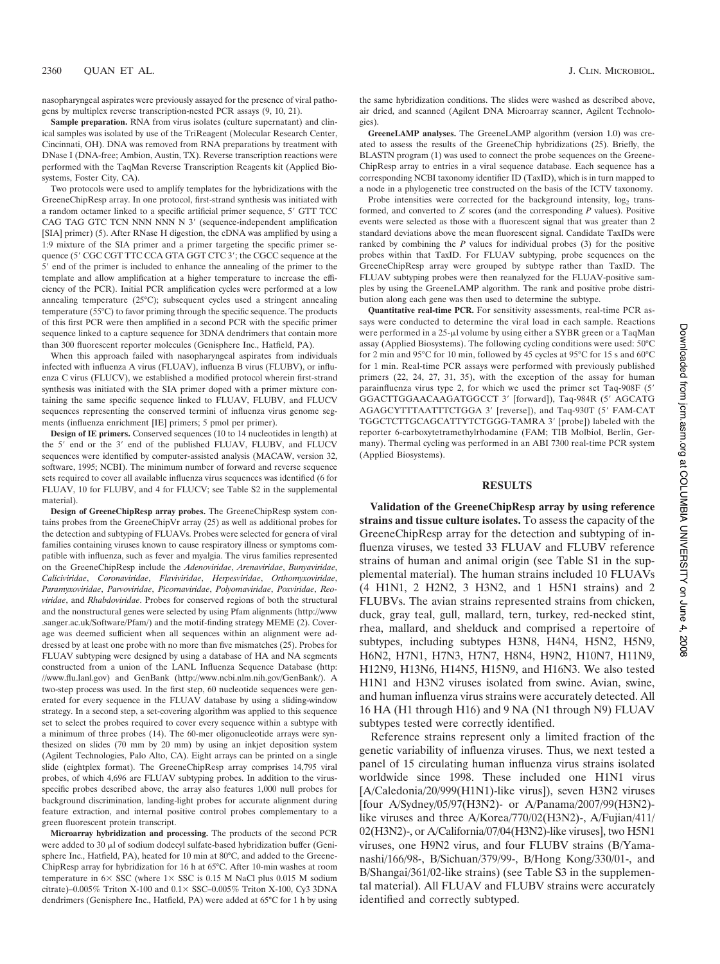nasopharyngeal aspirates were previously assayed for the presence of viral pathogens by multiplex reverse transcription-nested PCR assays (9, 10, 21).

**Sample preparation.** RNA from virus isolates (culture supernatant) and clinical samples was isolated by use of the TriReagent (Molecular Research Center, Cincinnati, OH). DNA was removed from RNA preparations by treatment with DNase I (DNA-free; Ambion, Austin, TX). Reverse transcription reactions were performed with the TaqMan Reverse Transcription Reagents kit (Applied Biosystems, Foster City, CA).

Two protocols were used to amplify templates for the hybridizations with the GreeneChipResp array. In one protocol, first-strand synthesis was initiated with a random octamer linked to a specific artificial primer sequence, 5" GTT TCC CAG TAG GTC TCN NNN NNN N 3" (sequence-independent amplification [SIA] primer) (5). After RNase H digestion, the cDNA was amplified by using a 1:9 mixture of the SIA primer and a primer targeting the specific primer sequence (5' CGC CGT TTC CCA GTA GGT CTC 3'; the CGCC sequence at the 5" end of the primer is included to enhance the annealing of the primer to the template and allow amplification at a higher temperature to increase the efficiency of the PCR). Initial PCR amplification cycles were performed at a low annealing temperature (25°C); subsequent cycles used a stringent annealing temperature (55°C) to favor priming through the specific sequence. The products of this first PCR were then amplified in a second PCR with the specific primer sequence linked to a capture sequence for 3DNA dendrimers that contain more than 300 fluorescent reporter molecules (Genisphere Inc., Hatfield, PA).

When this approach failed with nasopharyngeal aspirates from individuals infected with influenza A virus (FLUAV), influenza B virus (FLUBV), or influenza C virus (FLUCV), we established a modified protocol wherein first-strand synthesis was initiated with the SIA primer doped with a primer mixture containing the same specific sequence linked to FLUAV, FLUBV, and FLUCV sequences representing the conserved termini of influenza virus genome segments (influenza enrichment [IE] primers; 5 pmol per primer).

**Design of IE primers.** Conserved sequences (10 to 14 nucleotides in length) at the 5" end or the 3" end of the published FLUAV, FLUBV, and FLUCV sequences were identified by computer-assisted analysis (MACAW, version 32, software, 1995; NCBI). The minimum number of forward and reverse sequence sets required to cover all available influenza virus sequences was identified (6 for FLUAV, 10 for FLUBV, and 4 for FLUCV; see Table S2 in the supplemental material).

**Design of GreeneChipResp array probes.** The GreeneChipResp system contains probes from the GreeneChipVr array (25) as well as additional probes for the detection and subtyping of FLUAVs. Probes were selected for genera of viral families containing viruses known to cause respiratory illness or symptoms compatible with influenza, such as fever and myalgia. The virus families represented on the GreeneChipResp include the *Adenoviridae*, *Arenaviridae*, *Bunyaviridae*, *Caliciviridae*, *Coronaviridae*, *Flaviviridae*, *Herpesviridae*, *Orthomyxoviridae*, *Paramyxoviridae*, *Parvoviridae*, *Picornaviridae*, *Polyomaviridae*, *Poxviridae*, *Reoviridae*, and *Rhabdoviridae*. Probes for conserved regions of both the structural and the nonstructural genes were selected by using Pfam alignments (http://www .sanger.ac.uk/Software/Pfam/) and the motif-finding strategy MEME (2). Coverage was deemed sufficient when all sequences within an alignment were addressed by at least one probe with no more than five mismatches (25). Probes for FLUAV subtyping were designed by using a database of HA and NA segments constructed from a union of the LANL Influenza Sequence Database (http: //www.flu.lanl.gov) and GenBank (http://www.ncbi.nlm.nih.gov/GenBank/). A two-step process was used. In the first step, 60 nucleotide sequences were generated for every sequence in the FLUAV database by using a sliding-window strategy. In a second step, a set-covering algorithm was applied to this sequence set to select the probes required to cover every sequence within a subtype with a minimum of three probes (14). The 60-mer oligonucleotide arrays were synthesized on slides (70 mm by 20 mm) by using an inkjet deposition system (Agilent Technologies, Palo Alto, CA). Eight arrays can be printed on a single slide (eightplex format). The GreeneChipResp array comprises 14,795 viral probes, of which 4,696 are FLUAV subtyping probes. In addition to the virusspecific probes described above, the array also features 1,000 null probes for background discrimination, landing-light probes for accurate alignment during feature extraction, and internal positive control probes complementary to a green fluorescent protein transcript.

**Microarray hybridization and processing.** The products of the second PCR were added to 30  $\mu$ l of sodium dodecyl sulfate-based hybridization buffer (Genisphere Inc., Hatfield, PA), heated for 10 min at 80°C, and added to the Greene-ChipResp array for hybridization for 16 h at 65°C. After 10-min washes at room temperature in  $6 \times$  SSC (where  $1 \times$  SSC is 0.15 M NaCl plus 0.015 M sodium citrate)–0.005% Triton X-100 and 0.1\$ SSC–0.005% Triton X-100, Cy3 3DNA dendrimers (Genisphere Inc., Hatfield, PA) were added at 65°C for 1 h by using the same hybridization conditions. The slides were washed as described above, air dried, and scanned (Agilent DNA Microarray scanner, Agilent Technologies).

**GreeneLAMP analyses.** The GreeneLAMP algorithm (version 1.0) was created to assess the results of the GreeneChip hybridizations (25). Briefly, the BLASTN program (1) was used to connect the probe sequences on the Greene-ChipResp array to entries in a viral sequence database. Each sequence has a corresponding NCBI taxonomy identifier ID (TaxID), which is in turn mapped to a node in a phylogenetic tree constructed on the basis of the ICTV taxonomy.

Probe intensities were corrected for the background intensity,  $log_2$  transformed, and converted to *Z* scores (and the corresponding *P* values). Positive events were selected as those with a fluorescent signal that was greater than 2 standard deviations above the mean fluorescent signal. Candidate TaxIDs were ranked by combining the *P* values for individual probes (3) for the positive probes within that TaxID. For FLUAV subtyping, probe sequences on the GreeneChipResp array were grouped by subtype rather than TaxID. The FLUAV subtyping probes were then reanalyzed for the FLUAV-positive samples by using the GreeneLAMP algorithm. The rank and positive probe distribution along each gene was then used to determine the subtype.

**Quantitative real-time PCR.** For sensitivity assessments, real-time PCR assays were conducted to determine the viral load in each sample. Reactions were performed in a 25-µl volume by using either a SYBR green or a TaqMan assay (Applied Biosystems). The following cycling conditions were used: 50°C for 2 min and 95°C for 10 min, followed by 45 cycles at 95°C for 15 s and 60°C for 1 min. Real-time PCR assays were performed with previously published primers (22, 24, 27, 31, 35), with the exception of the assay for human parainfluenza virus type 2, for which we used the primer set Taq-908F (5" GGACTTGGAACAAGATGGCCT 3" [forward]), Taq-984R (5" AGCATG AGAGCYTTTAATTTCTGGA 3" [reverse]), and Taq-930T (5" FAM-CAT TGGCTCTTGCAGCATTYTCTGGG-TAMRA 3" [probe]) labeled with the reporter 6-carboxytetramethylrhodamine (FAM; TIB Molbiol, Berlin, Germany). Thermal cycling was performed in an ABI 7300 real-time PCR system (Applied Biosystems).

# **RESULTS**

**Validation of the GreeneChipResp array by using reference strains and tissue culture isolates.** To assess the capacity of the GreeneChipResp array for the detection and subtyping of influenza viruses, we tested 33 FLUAV and FLUBV reference strains of human and animal origin (see Table S1 in the supplemental material). The human strains included 10 FLUAVs (4 H1N1, 2 H2N2, 3 H3N2, and 1 H5N1 strains) and 2 FLUBVs. The avian strains represented strains from chicken, duck, gray teal, gull, mallard, tern, turkey, red-necked stint, rhea, mallard, and shelduck and comprised a repertoire of subtypes, including subtypes H3N8, H4N4, H5N2, H5N9, H6N2, H7N1, H7N3, H7N7, H8N4, H9N2, H10N7, H11N9, H12N9, H13N6, H14N5, H15N9, and H16N3. We also tested H1N1 and H3N2 viruses isolated from swine. Avian, swine, and human influenza virus strains were accurately detected. All 16 HA (H1 through H16) and 9 NA (N1 through N9) FLUAV subtypes tested were correctly identified.

Reference strains represent only a limited fraction of the genetic variability of influenza viruses. Thus, we next tested a panel of 15 circulating human influenza virus strains isolated worldwide since 1998. These included one H1N1 virus [A/Caledonia/20/999(H1N1)-like virus]), seven H3N2 viruses [four A/Sydney/05/97(H3N2)- or A/Panama/2007/99(H3N2) like viruses and three A/Korea/770/02(H3N2)-, A/Fujian/411/ 02(H3N2)-, or A/California/07/04(H3N2)-like viruses], two H5N1 viruses, one H9N2 virus, and four FLUBV strains (B/Yamanashi/166/98-, B/Sichuan/379/99-, B/Hong Kong/330/01-, and B/Shangai/361/02-like strains) (see Table S3 in the supplemental material). All FLUAV and FLUBV strains were accurately identified and correctly subtyped.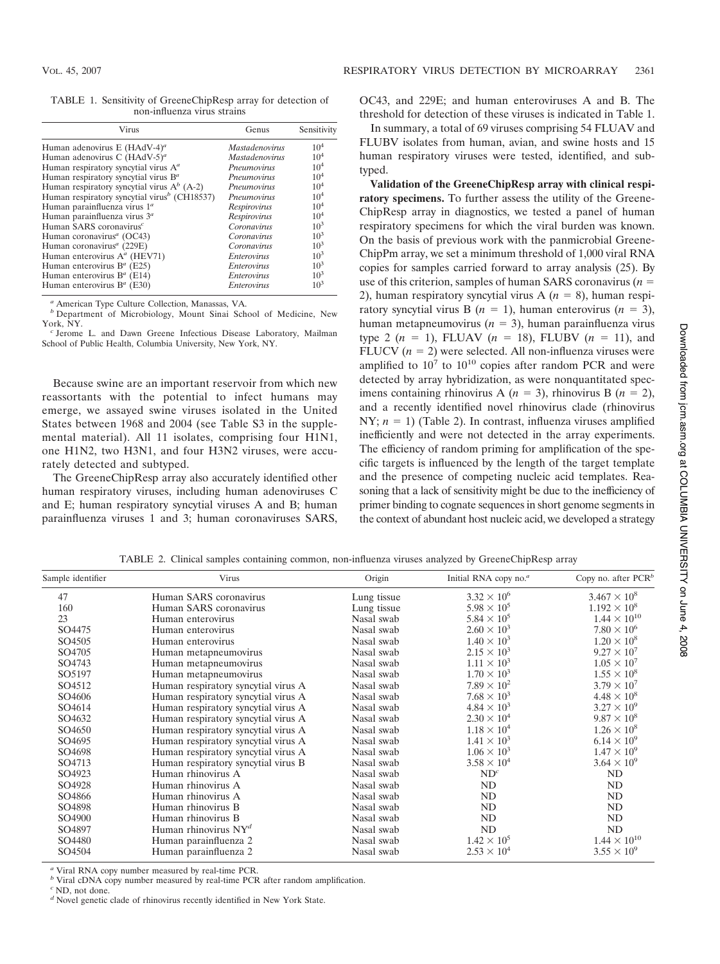TABLE 1. Sensitivity of GreeneChipResp array for detection of non-influenza virus strains

| Virus                                                    | Genus                 | Sensitivity     |
|----------------------------------------------------------|-----------------------|-----------------|
| Human adenovirus E (HAdV-4) <sup>a</sup>                 | <i>Mastadenovirus</i> | $10^{4}$        |
| Human adenovirus C $(HAdV-5)^a$                          | <b>Mastadenovirus</b> | 10 <sup>4</sup> |
| Human respiratory syncytial virus A <sup>a</sup>         | Pneumovirus           | 10 <sup>4</sup> |
| Human respiratory syncytial virus $B^a$                  | Pneumovirus           | 10 <sup>4</sup> |
| Human respiratory syncytial virus $A^b$ (A-2)            | Pneumovirus           | 10 <sup>4</sup> |
| Human respiratory syncytial virus <sup>b</sup> (CH18537) | Pneumovirus           | 10 <sup>4</sup> |
| Human parainfluenza virus 1 <sup>a</sup>                 | Respirovirus          | 10 <sup>4</sup> |
| Human parainfluenza virus $3a$                           | Respirovirus          | $10^{4}$        |
| Human SARS coronavirus <sup>c</sup>                      | Coronavirus           | $10^3$          |
| Human coronavirus <sup>a</sup> (OC43)                    | Coronavirus           | $10^{3}$        |
| Human coronavirus <sup>a</sup> (229E)                    | Coronavirus           | $10^3$          |
| Human enterovirus $A^a$ (HEV71)                          | Enterovirus           | $10^{3}$        |
| Human enterovirus B <sup>a</sup> (E25)                   | Enterovirus           | $10^{3}$        |
| Human enterovirus $B^a$ (E14)                            | Enterovirus           | $10^3$          |
| Human enterovirus $B^a$ (E30)                            | <b>Enterovirus</b>    | $10^3$          |

*<sup>a</sup>* American Type Culture Collection, Manassas, VA. *<sup>b</sup>* Department of Microbiology, Mount Sinai School of Medicine, New

York, NY. *<sup>c</sup>* Jerome L. and Dawn Greene Infectious Disease Laboratory, Mailman School of Public Health, Columbia University, New York, NY.

Because swine are an important reservoir from which new reassortants with the potential to infect humans may emerge, we assayed swine viruses isolated in the United States between 1968 and 2004 (see Table S3 in the supplemental material). All 11 isolates, comprising four H1N1, one H1N2, two H3N1, and four H3N2 viruses, were accurately detected and subtyped.

The GreeneChipResp array also accurately identified other human respiratory viruses, including human adenoviruses C and E; human respiratory syncytial viruses A and B; human parainfluenza viruses 1 and 3; human coronaviruses SARS, OC43, and 229E; and human enteroviruses A and B. The threshold for detection of these viruses is indicated in Table 1.

In summary, a total of 69 viruses comprising 54 FLUAV and FLUBV isolates from human, avian, and swine hosts and 15 human respiratory viruses were tested, identified, and subtyped.

**Validation of the GreeneChipResp array with clinical respiratory specimens.** To further assess the utility of the Greene-ChipResp array in diagnostics, we tested a panel of human respiratory specimens for which the viral burden was known. On the basis of previous work with the panmicrobial Greene-ChipPm array, we set a minimum threshold of 1,000 viral RNA copies for samples carried forward to array analysis (25). By use of this criterion, samples of human SARS coronavirus  $(n =$ 2), human respiratory syncytial virus  $A(n = 8)$ , human respiratory syncytial virus B  $(n = 1)$ , human enterovirus  $(n = 3)$ , human metapneumovirus  $(n = 3)$ , human parainfluenza virus type 2 ( $n = 1$ ), FLUAV ( $n = 18$ ), FLUBV ( $n = 11$ ), and FLUCV  $(n = 2)$  were selected. All non-influenza viruses were amplified to  $10^7$  to  $10^{10}$  copies after random PCR and were detected by array hybridization, as were nonquantitated specimens containing rhinovirus A ( $n = 3$ ), rhinovirus B ( $n = 2$ ), and a recently identified novel rhinovirus clade (rhinovirus NY;  $n = 1$ ) (Table 2). In contrast, influenza viruses amplified inefficiently and were not detected in the array experiments. The efficiency of random priming for amplification of the specific targets is influenced by the length of the target template and the presence of competing nucleic acid templates. Reasoning that a lack of sensitivity might be due to the inefficiency of primer binding to cognate sequences in short genome segments in the context of abundant host nucleic acid, we developed a strategy

TABLE 2. Clinical samples containing common, non-influenza viruses analyzed by GreeneChipResp array

| Sample identifier  | Virus                               | Origin      | Initial RNA copy no. <sup>a</sup> | Copy no. after $PCRb$ |
|--------------------|-------------------------------------|-------------|-----------------------------------|-----------------------|
| 47                 | Human SARS coronavirus              | Lung tissue | $3.32 \times 10^{6}$              | $3.467 \times 10^8$   |
| 160                | Human SARS coronavirus              | Lung tissue | $5.98 \times 10^{5}$              | $1.192 \times 10^8$   |
| 23                 | Human enterovirus                   | Nasal swab  | $5.84 \times 10^{5}$              | $1.44 \times 10^{10}$ |
| SO4475             | Human enterovirus                   | Nasal swab  | $2.60 \times 10^3$                | $7.80 \times 10^6$    |
| SO4505             | Human enterovirus                   | Nasal swab  | $1.40 \times 10^{3}$              | $1.20 \times 10^8$    |
| SO4705             | Human metapneumovirus               | Nasal swab  | $2.15 \times 10^3$                | $9.27 \times 10^{7}$  |
| SO4743             | Human metapneumovirus               | Nasal swab  | $1.11 \times 10^3$                | $1.05 \times 10^{7}$  |
| SO5197             | Human metapneumovirus               | Nasal swab  | $1.70 \times 10^3$                | $1.55 \times 10^8$    |
| SO4512             | Human respiratory syncytial virus A | Nasal swab  | $7.89 \times 10^{2}$              | $3.79 \times 10^{7}$  |
| SO4606             | Human respiratory syncytial virus A | Nasal swab  | $7.68 \times 10^3$                | $4.48 \times 10^{8}$  |
| SO4614             | Human respiratory syncytial virus A | Nasal swab  | $4.84 \times 10^{3}$              | $3.27 \times 10^{9}$  |
| SO4632             | Human respiratory syncytial virus A | Nasal swab  | $2.30 \times 10^4$                | $9.87 \times 10^8$    |
| SO4650             | Human respiratory syncytial virus A | Nasal swab  | $1.18 \times 10^{4}$              | $1.26 \times 10^8$    |
| SO4695             | Human respiratory syncytial virus A | Nasal swab  | $1.41 \times 10^3$                | $6.14 \times 10^{9}$  |
| SO4698             | Human respiratory syncytial virus A | Nasal swab  | $1.06 \times 10^3$                | $1.47 \times 10^{9}$  |
| SO4713             | Human respiratory syncytial virus B | Nasal swab  | $3.58 \times 10^{4}$              | $3.64 \times 10^{9}$  |
| SO4923             | Human rhinovirus A                  | Nasal swab  | ND <sup>c</sup>                   | ND                    |
| SO4928             | Human rhinovirus A                  | Nasal swab  | ND                                | ND                    |
| SO4866             | Human rhinovirus A                  | Nasal swab  | ND                                | ND                    |
| SO4898             | Human rhinovirus B                  | Nasal swab  | ND                                | ND                    |
| SO4900             | Human rhinovirus B                  | Nasal swab  | ND                                | ND                    |
| SO <sub>4897</sub> | Human rhinovirus $NY^d$             | Nasal swab  | ND                                | ND                    |
| SO4480             | Human parainfluenza 2               | Nasal swab  | $1.42 \times 10^5$                | $1.44 \times 10^{10}$ |
| SO4504             | Human parainfluenza 2               | Nasal swab  | $2.53 \times 10^{4}$              | $3.55 \times 10^{9}$  |

<sup>*a*</sup> Viral RNA copy number measured by real-time PCR.<br><sup>*b*</sup> Viral cDNA copy number measured by real-time PCR after random amplification.<br><sup>*c*</sup> ND, not done.<br>*<sup><i>d*</sup> Novel genetic clade of rhinovirus recently identified in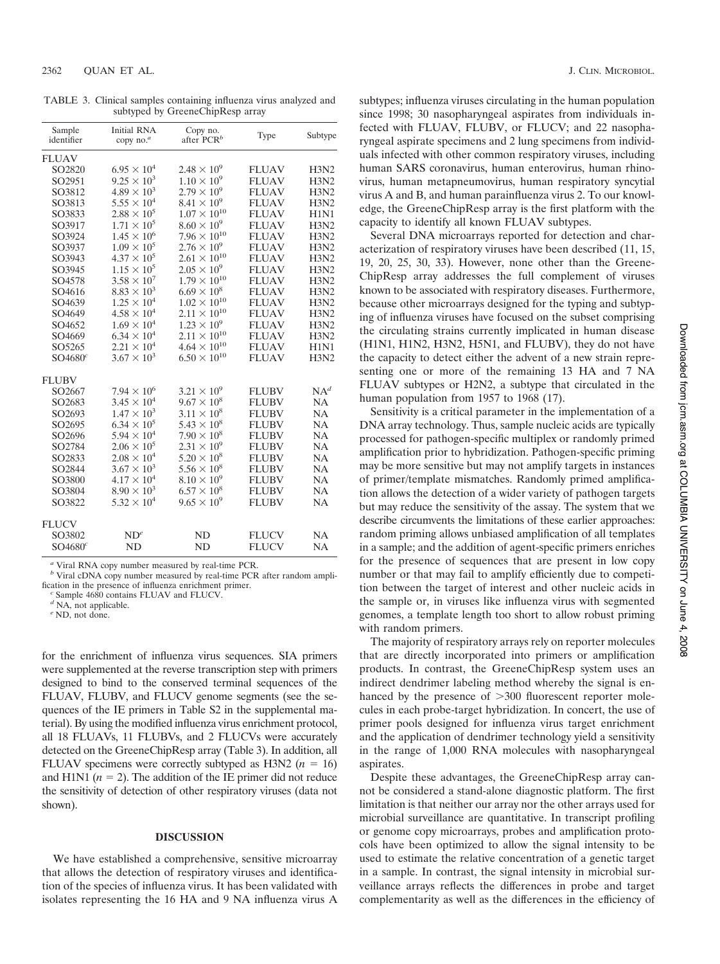TABLE 3. Clinical samples containing influenza virus analyzed and subtyped by GreeneChipResp array

| <b>Initial RNA</b><br>copy no. <sup>a</sup> | Copy no.<br>after PCR <sup>b</sup> | Type                                                                                                                                                                  | Subtype     |
|---------------------------------------------|------------------------------------|-----------------------------------------------------------------------------------------------------------------------------------------------------------------------|-------------|
|                                             |                                    |                                                                                                                                                                       |             |
| $6.95 \times 10^{4}$                        | $2.48 \times 10^{9}$               | <b>FLUAV</b>                                                                                                                                                          | H3N2        |
| $9.25 \times 10^3$                          | $1.10 \times 10^{9}$               | <b>FLUAV</b>                                                                                                                                                          | H3N2        |
| $4.89 \times 10^3$                          | $2.79 \times 10^{9}$               | <b>FLUAV</b>                                                                                                                                                          | H3N2        |
| $5.55 \times 10^4$                          | $8.41 \times 10^{9}$               | <b>FLUAV</b>                                                                                                                                                          | H3N2        |
| $2.88 \times 10^{5}$                        |                                    | <b>FLUAV</b>                                                                                                                                                          | H1N1        |
| $1.71 \times 10^{5}$                        |                                    | <b>FLUAV</b>                                                                                                                                                          | H3N2        |
| $1.45 \times 10^{6}$                        | $7.96 \times 10^{10}$              | <b>FLUAV</b>                                                                                                                                                          | <b>H3N2</b> |
| $1.09 \times 10^{5}$                        |                                    | <b>FLUAV</b>                                                                                                                                                          | H3N2        |
| $4.37 \times 10^{5}$                        | $2.61 \times 10^{10}$              | <b>FLUAV</b>                                                                                                                                                          | <b>H3N2</b> |
| $1.15 \times 10^{5}$                        | $2.05 \times 10^{9}$               | <b>FLUAV</b>                                                                                                                                                          | H3N2        |
| $3.58 \times 10^{7}$                        | $1.79 \times 10^{10}$              | <b>FLUAV</b>                                                                                                                                                          | H3N2        |
| $8.83 \times 10^{3}$                        | $6.69 \times 10^8$                 | <b>FLUAV</b>                                                                                                                                                          | H3N2        |
| $1.25 \times 10^4$                          | $1.02 \times 10^{10}$              | <b>FLUAV</b>                                                                                                                                                          | H3N2        |
| $4.58 \times 10^{4}$                        | $2.11 \times 10^{10}$              | <b>FLUAV</b>                                                                                                                                                          | H3N2        |
| $1.69 \times 10^{4}$                        |                                    | <b>FLUAV</b>                                                                                                                                                          | H3N2        |
| $6.34 \times 10^{4}$                        |                                    | <b>FLUAV</b>                                                                                                                                                          | H3N2        |
| $2.21 \times 10^4$                          | $4.64 \times 10^{10}$              | <b>FLUAV</b>                                                                                                                                                          | <b>H1N1</b> |
| $3.67 \times 10^{3}$                        |                                    | <b>FLUAV</b>                                                                                                                                                          | H3N2        |
|                                             |                                    |                                                                                                                                                                       |             |
| $7.94 \times 10^{6}$                        | $3.21 \times 10^{9}$               | <b>FLUBV</b>                                                                                                                                                          | $NA^d$      |
| $3.45 \times 10^{4}$                        | $9.67 \times 10^8$                 | <b>FLUBV</b>                                                                                                                                                          | <b>NA</b>   |
| $1.47 \times 10^{3}$                        | $3.11 \times 10^8$                 | <b>FLUBV</b>                                                                                                                                                          | <b>NA</b>   |
| $6.34 \times 10^{5}$                        | $5.43 \times 10^8$                 | <b>FLUBV</b>                                                                                                                                                          | <b>NA</b>   |
| $5.94 \times 10^{4}$                        | $7.90 \times 10^8$                 | <b>FLUBV</b>                                                                                                                                                          | <b>NA</b>   |
| $2.06 \times 10^5$                          |                                    | <b>FLUBV</b>                                                                                                                                                          | <b>NA</b>   |
| $2.08 \times 10^{4}$                        | $5.20 \times 10^8$                 | <b>FLUBV</b>                                                                                                                                                          | <b>NA</b>   |
| $3.67 \times 10^{3}$                        | $5.56 \times 10^8$                 | <b>FLUBV</b>                                                                                                                                                          | NA          |
| $4.17 \times 10^{4}$                        | $8.10 \times 10^{9}$               | <b>FLUBV</b>                                                                                                                                                          | <b>NA</b>   |
| $8.90 \times 10^{3}$                        | $6.57 \times 10^8$                 | <b>FLUBV</b>                                                                                                                                                          | NA          |
| $5.32 \times 10^{4}$                        | $9.65 \times 10^{9}$               | <b>FLUBV</b>                                                                                                                                                          | <b>NA</b>   |
|                                             |                                    |                                                                                                                                                                       |             |
| $ND^e$                                      | ND                                 | <b>FLUCV</b>                                                                                                                                                          | NA          |
| ND                                          | N <sub>D</sub>                     | <b>FLUCV</b>                                                                                                                                                          | <b>NA</b>   |
|                                             |                                    | $1.07\times10^{10}$<br>$8.60 \times 10^{9}$<br>$2.76 \times 10^{9}$<br>$1.23 \times 10^{9}$<br>$2.11 \times 10^{10}$<br>$6.50 \times 10^{10}$<br>$2.31 \times 10^{9}$ |             |

*<sup>a</sup>* Viral RNA copy number measured by real-time PCR. *<sup>b</sup>* Viral cDNA copy number measured by real-time PCR after random amplification in the presence of influenza enrichment primer. *<sup>c</sup>* Sample <sup>4680</sup> contains FLUAV and FLUCV. *<sup>d</sup>* NA, not applicable. *<sup>e</sup>* ND, not done.

for the enrichment of influenza virus sequences. SIA primers were supplemented at the reverse transcription step with primers designed to bind to the conserved terminal sequences of the FLUAV, FLUBV, and FLUCV genome segments (see the sequences of the IE primers in Table S2 in the supplemental material). By using the modified influenza virus enrichment protocol, all 18 FLUAVs, 11 FLUBVs, and 2 FLUCVs were accurately detected on the GreeneChipResp array (Table 3). In addition, all FLUAV specimens were correctly subtyped as H3N2  $(n = 16)$ and H1N1 ( $n = 2$ ). The addition of the IE primer did not reduce the sensitivity of detection of other respiratory viruses (data not shown).

#### **DISCUSSION**

We have established a comprehensive, sensitive microarray that allows the detection of respiratory viruses and identification of the species of influenza virus. It has been validated with isolates representing the 16 HA and 9 NA influenza virus A

subtypes; influenza viruses circulating in the human population since 1998; 30 nasopharyngeal aspirates from individuals infected with FLUAV, FLUBV, or FLUCV; and 22 nasopharyngeal aspirate specimens and 2 lung specimens from individuals infected with other common respiratory viruses, including human SARS coronavirus, human enterovirus, human rhinovirus, human metapneumovirus, human respiratory syncytial virus A and B, and human parainfluenza virus 2. To our knowledge, the GreeneChipResp array is the first platform with the capacity to identify all known FLUAV subtypes.

Several DNA microarrays reported for detection and characterization of respiratory viruses have been described (11, 15, 19, 20, 25, 30, 33). However, none other than the Greene-ChipResp array addresses the full complement of viruses known to be associated with respiratory diseases. Furthermore, because other microarrays designed for the typing and subtyping of influenza viruses have focused on the subset comprising the circulating strains currently implicated in human disease (H1N1, H1N2, H3N2, H5N1, and FLUBV), they do not have the capacity to detect either the advent of a new strain representing one or more of the remaining 13 HA and 7 NA FLUAV subtypes or H2N2, a subtype that circulated in the human population from 1957 to 1968 (17).

Sensitivity is a critical parameter in the implementation of a DNA array technology. Thus, sample nucleic acids are typically processed for pathogen-specific multiplex or randomly primed amplification prior to hybridization. Pathogen-specific priming may be more sensitive but may not amplify targets in instances of primer/template mismatches. Randomly primed amplification allows the detection of a wider variety of pathogen targets but may reduce the sensitivity of the assay. The system that we describe circumvents the limitations of these earlier approaches: random priming allows unbiased amplification of all templates in a sample; and the addition of agent-specific primers enriches for the presence of sequences that are present in low copy number or that may fail to amplify efficiently due to competition between the target of interest and other nucleic acids in the sample or, in viruses like influenza virus with segmented genomes, a template length too short to allow robust priming with random primers.

The majority of respiratory arrays rely on reporter molecules that are directly incorporated into primers or amplification products. In contrast, the GreeneChipResp system uses an indirect dendrimer labeling method whereby the signal is enhanced by the presence of  $>300$  fluorescent reporter molecules in each probe-target hybridization. In concert, the use of primer pools designed for influenza virus target enrichment and the application of dendrimer technology yield a sensitivity in the range of 1,000 RNA molecules with nasopharyngeal aspirates.

Despite these advantages, the GreeneChipResp array cannot be considered a stand-alone diagnostic platform. The first limitation is that neither our array nor the other arrays used for microbial surveillance are quantitative. In transcript profiling or genome copy microarrays, probes and amplification protocols have been optimized to allow the signal intensity to be used to estimate the relative concentration of a genetic target in a sample. In contrast, the signal intensity in microbial surveillance arrays reflects the differences in probe and target complementarity as well as the differences in the efficiency of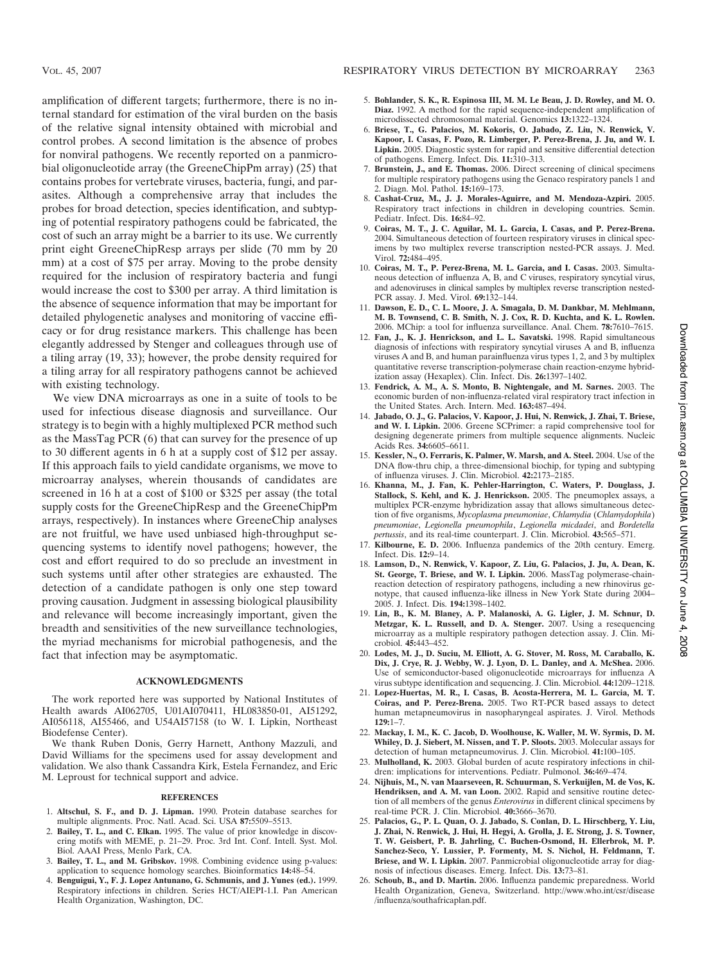amplification of different targets; furthermore, there is no internal standard for estimation of the viral burden on the basis of the relative signal intensity obtained with microbial and control probes. A second limitation is the absence of probes for nonviral pathogens. We recently reported on a panmicrobial oligonucleotide array (the GreeneChipPm array) (25) that contains probes for vertebrate viruses, bacteria, fungi, and parasites. Although a comprehensive array that includes the probes for broad detection, species identification, and subtyping of potential respiratory pathogens could be fabricated, the cost of such an array might be a barrier to its use. We currently print eight GreeneChipResp arrays per slide (70 mm by 20 mm) at a cost of \$75 per array. Moving to the probe density required for the inclusion of respiratory bacteria and fungi would increase the cost to \$300 per array. A third limitation is the absence of sequence information that may be important for detailed phylogenetic analyses and monitoring of vaccine efficacy or for drug resistance markers. This challenge has been elegantly addressed by Stenger and colleagues through use of a tiling array (19, 33); however, the probe density required for a tiling array for all respiratory pathogens cannot be achieved with existing technology.

We view DNA microarrays as one in a suite of tools to be used for infectious disease diagnosis and surveillance. Our strategy is to begin with a highly multiplexed PCR method such as the MassTag PCR (6) that can survey for the presence of up to 30 different agents in 6 h at a supply cost of \$12 per assay. If this approach fails to yield candidate organisms, we move to microarray analyses, wherein thousands of candidates are screened in 16 h at a cost of \$100 or \$325 per assay (the total supply costs for the GreeneChipResp and the GreeneChipPm arrays, respectively). In instances where GreeneChip analyses are not fruitful, we have used unbiased high-throughput sequencing systems to identify novel pathogens; however, the cost and effort required to do so preclude an investment in such systems until after other strategies are exhausted. The detection of a candidate pathogen is only one step toward proving causation. Judgment in assessing biological plausibility and relevance will become increasingly important, given the breadth and sensitivities of the new surveillance technologies, the myriad mechanisms for microbial pathogenesis, and the fact that infection may be asymptomatic.

## **ACKNOWLEDGMENTS**

The work reported here was supported by National Institutes of Health awards AI062705, U01AI070411, HL083850-01, AI51292, AI056118, AI55466, and U54AI57158 (to W. I. Lipkin, Northeast Biodefense Center).

We thank Ruben Donis, Gerry Harnett, Anthony Mazzuli, and David Williams for the specimens used for assay development and validation. We also thank Cassandra Kirk, Estela Fernandez, and Eric M. Leproust for technical support and advice.

# **REFERENCES**

- 1. **Altschul, S. F., and D. J. Lipman.** 1990. Protein database searches for multiple alignments. Proc. Natl. Acad. Sci. USA **87:**5509–5513.
- 2. **Bailey, T. L., and C. Elkan.** 1995. The value of prior knowledge in discovering motifs with MEME, p. 21–29. Proc. 3rd Int. Conf. Intell. Syst. Mol. Biol. AAAI Press, Menlo Park, CA.
- 3. **Bailey, T. L., and M. Gribskov.** 1998. Combining evidence using p-values: application to sequence homology searches. Bioinformatics **14:**48–54.
- 4. **Benguigui, Y., F. J. Lopez Antunano, G. Schmunis, and J. Yunes (ed.).** 1999. Respiratory infections in children. Series HCT/AIEPI-1.I. Pan American Health Organization, Washington, DC.
- 5. **Bohlander, S. K., R. Espinosa III, M. M. Le Beau, J. D. Rowley, and M. O. Diaz.** 1992. A method for the rapid sequence-independent amplification of microdissected chromosomal material. Genomics **13:**1322–1324.
- 6. **Briese, T., G. Palacios, M. Kokoris, O. Jabado, Z. Liu, N. Renwick, V. Kapoor, I. Casas, F. Pozo, R. Limberger, P. Perez-Brena, J. Ju, and W. I. Lipkin.** 2005. Diagnostic system for rapid and sensitive differential detection of pathogens. Emerg. Infect. Dis. **11:**310–313.
- 7. **Brunstein, J., and E. Thomas.** 2006. Direct screening of clinical specimens for multiple respiratory pathogens using the Genaco respiratory panels 1 and 2. Diagn. Mol. Pathol. **15:**169–173.
- 8. **Cashat-Cruz, M., J. J. Morales-Aguirre, and M. Mendoza-Azpiri.** 2005. Respiratory tract infections in children in developing countries. Semin. Pediatr. Infect. Dis. **16:**84–92.
- 9. **Coiras, M. T., J. C. Aguilar, M. L. Garcia, I. Casas, and P. Perez-Brena.** 2004. Simultaneous detection of fourteen respiratory viruses in clinical specimens by two multiplex reverse transcription nested-PCR assays. J. Med. Virol. **72:**484–495.
- 10. **Coiras, M. T., P. Perez-Brena, M. L. Garcia, and I. Casas.** 2003. Simultaneous detection of influenza A, B, and C viruses, respiratory syncytial virus, and adenoviruses in clinical samples by multiplex reverse transcription nested-PCR assay. J. Med. Virol. **69:**132–144.
- 11. **Dawson, E. D., C. L. Moore, J. A. Smagala, D. M. Dankbar, M. Mehlmann, M. B. Townsend, C. B. Smith, N. J. Cox, R. D. Kuchta, and K. L. Rowlen.** 2006. MChip: a tool for influenza surveillance. Anal. Chem. **78:**7610–7615.
- 12. **Fan, J., K. J. Henrickson, and L. L. Savatski.** 1998. Rapid simultaneous diagnosis of infections with respiratory syncytial viruses A and B, influenza viruses A and B, and human parainfluenza virus types 1, 2, and 3 by multiplex quantitative reverse transcription-polymerase chain reaction-enzyme hybridization assay (Hexaplex). Clin. Infect. Dis. **26:**1397–1402.
- 13. **Fendrick, A. M., A. S. Monto, B. Nightengale, and M. Sarnes.** 2003. The economic burden of non-influenza-related viral respiratory tract infection in the United States. Arch. Intern. Med. **163:**487–494.
- 14. **Jabado, O. J., G. Palacios, V. Kapoor, J. Hui, N. Renwick, J. Zhai, T. Briese, and W. I. Lipkin.** 2006. Greene SCPrimer: a rapid comprehensive tool for designing degenerate primers from multiple sequence alignments. Nucleic Acids Res. **34:**6605–6611.
- 15. **Kessler, N., O. Ferraris, K. Palmer, W. Marsh, and A. Steel.** 2004. Use of the DNA flow-thru chip, a three-dimensional biochip, for typing and subtyping of influenza viruses. J. Clin. Microbiol. **42:**2173–2185.
- 16. **Khanna, M., J. Fan, K. Pehler-Harrington, C. Waters, P. Douglass, J. Stallock, S. Kehl, and K. J. Henrickson.** 2005. The pneumoplex assays, a multiplex PCR-enzyme hybridization assay that allows simultaneous detection of five organisms, *Mycoplasma pneumoniae*, *Chlamydia* (*Chlamydophila*) *pneumoniae*, *Legionella pneumophila*, *Legionella micdadei*, and *Bordetella pertussis*, and its real-time counterpart. J. Clin. Microbiol. **43:**565–571.
- 17. **Kilbourne, E. D.** 2006. Influenza pandemics of the 20th century. Emerg. Infect. Dis. **12:**9–14.
- 18. **Lamson, D., N. Renwick, V. Kapoor, Z. Liu, G. Palacios, J. Ju, A. Dean, K. St. George, T. Briese, and W. I. Lipkin.** 2006. MassTag polymerase-chainreaction detection of respiratory pathogens, including a new rhinovirus genotype, that caused influenza-like illness in New York State during 2004– 2005. J. Infect. Dis. **194:**1398–1402.
- 19. **Lin, B., K. M. Blaney, A. P. Malanoski, A. G. Ligler, J. M. Schnur, D. Metzgar, K. L. Russell, and D. A. Stenger.** 2007. Using a resequencing microarray as a multiple respiratory pathogen detection assay. J. Clin. Microbiol. **45:**443–452.
- 20. **Lodes, M. J., D. Suciu, M. Elliott, A. G. Stover, M. Ross, M. Caraballo, K. Dix, J. Crye, R. J. Webby, W. J. Lyon, D. L. Danley, and A. McShea.** 2006. Use of semiconductor-based oligonucleotide microarrays for influenza A virus subtype identification and sequencing. J. Clin. Microbiol. **44:**1209–1218.
- 21. **Lopez-Huertas, M. R., I. Casas, B. Acosta-Herrera, M. L. Garcia, M. T. Coiras, and P. Perez-Brena.** 2005. Two RT-PCR based assays to detect human metapneumovirus in nasopharyngeal aspirates. J. Virol. Methods **129:**1–7.
- 22. **Mackay, I. M., K. C. Jacob, D. Woolhouse, K. Waller, M. W. Syrmis, D. M. Whiley, D. J. Siebert, M. Nissen, and T. P. Sloots.** 2003. Molecular assays for detection of human metapneumovirus. J. Clin. Microbiol. **41:**100–105.
- 23. **Mulholland, K.** 2003. Global burden of acute respiratory infections in children: implications for interventions. Pediatr. Pulmonol. **36:**469–474.
- 24. **Nijhuis, M., N. van Maarseveen, R. Schuurman, S. Verkuijlen, M. de Vos, K. Hendriksen, and A. M. van Loon.** 2002. Rapid and sensitive routine detection of all members of the genus *Enterovirus* in different clinical specimens by real-time PCR. J. Clin. Microbiol. **40:**3666–3670.
- 25. **Palacios, G., P. L. Quan, O. J. Jabado, S. Conlan, D. L. Hirschberg, Y. Liu, J. Zhai, N. Renwick, J. Hui, H. Hegyi, A. Grolla, J. E. Strong, J. S. Towner, T. W. Geisbert, P. B. Jahrling, C. Buchen-Osmond, H. Ellerbrok, M. P. Sanchez-Seco, Y. Lussier, P. Formenty, M. S. Nichol, H. Feldmann, T. Briese, and W. I. Lipkin.** 2007. Panmicrobial oligonucleotide array for diagnosis of infectious diseases. Emerg. Infect. Dis. **13:**73–81.
- 26. **Schoub, B., and D. Martin.** 2006. Influenza pandemic preparedness. World Health Organization, Geneva, Switzerland. http://www.who.int/csr/disease /influenza/southafricaplan.pdf.